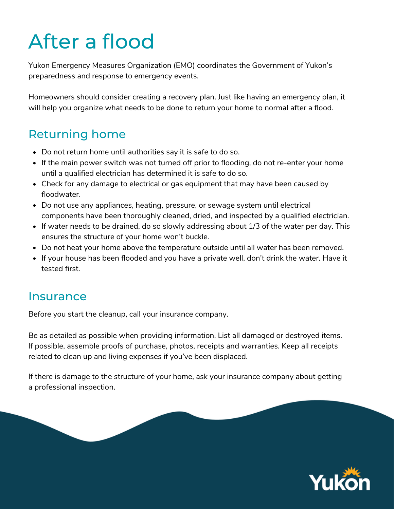# After a flood

Yukon Emergency Measures Organization (EMO) coordinates the Government of Yukon's preparedness and response to emergency events.

Homeowners should consider creating a recovery plan. Just like having an emergency plan, it will help you organize what needs to be done to return your home to normal after a flood.

## Returning home

- Do not return home until authorities say it is safe to do so.
- If the main power switch was not turned off prior to flooding, do not re-enter your home until a qualified electrician has determined it is safe to do so.
- Check for any damage to electrical or gas equipment that may have been caused by floodwater.
- Do not use any appliances, heating, pressure, or sewage system until electrical components have been thoroughly cleaned, dried, and inspected by a qualified electrician.
- $\bullet$  If water needs to be drained, do so slowly addressing about 1/3 of the water per day. This ensures the structure of your home won't buckle.
- Do not heat your home above the temperature outside until all water has been removed.
- If your house has been flooded and you have a private well, don't drink the water. Have it tested first.

#### **Insurance**

Before you start the cleanup, call your insurance company.

Be as detailed as possible when providing information. List all damaged or destroyed items. If possible, assemble proofs of purchase, photos, receipts and warranties. Keep all receipts related to clean up and living expenses if you've been displaced.

If there is damage to the structure of your home, ask your insurance company about getting a professional inspection.